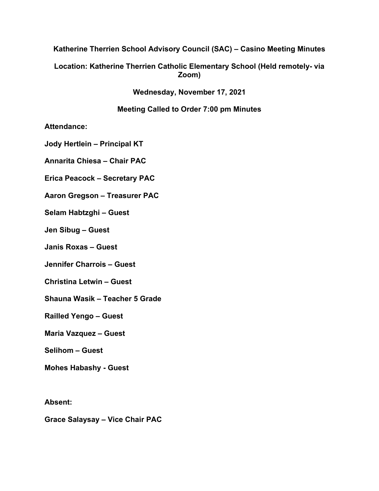# **Katherine Therrien School Advisory Council (SAC) – Casino Meeting Minutes**

# **Location: Katherine Therrien Catholic Elementary School (Held remotely- via Zoom)**

**Wednesday, November 17, 2021**

### **Meeting Called to Order 7:00 pm Minutes**

**Attendance:** 

**Jody Hertlein – Principal KT**

**Annarita Chiesa – Chair PAC**

**Erica Peacock – Secretary PAC**

**Aaron Gregson – Treasurer PAC**

**Selam Habtzghi – Guest**

**Jen Sibug – Guest**

**Janis Roxas – Guest**

**Jennifer Charrois – Guest**

**Christina Letwin – Guest**

**Shauna Wasik – Teacher 5 Grade**

**Railled Yengo – Guest**

**Maria Vazquez – Guest**

**Selihom – Guest**

**Mohes Habashy - Guest**

**Absent:**

**Grace Salaysay – Vice Chair PAC**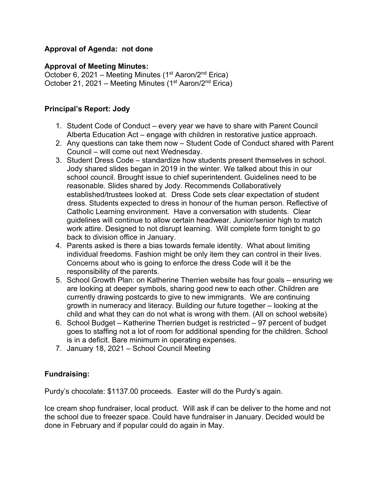# **Approval of Agenda: not done**

### **Approval of Meeting Minutes:**

October 6, 2021 – Meeting Minutes (1<sup>st</sup> Aaron/2<sup>nd</sup> Erica) October 21, 2021 – Meeting Minutes (1<sup>st</sup> Aaron/2<sup>nd</sup> Erica)

### **Principal's Report: Jody**

- 1. Student Code of Conduct every year we have to share with Parent Council Alberta Education Act – engage with children in restorative justice approach.
- 2. Any questions can take them now Student Code of Conduct shared with Parent Council – will come out next Wednesday.
- 3. Student Dress Code standardize how students present themselves in school. Jody shared slides began in 2019 in the winter. We talked about this in our school council. Brought issue to chief superintendent. Guidelines need to be reasonable. Slides shared by Jody. Recommends Collaboratively established/trustees looked at. Dress Code sets clear expectation of student dress. Students expected to dress in honour of the human person. Reflective of Catholic Learning environment. Have a conversation with students. Clear guidelines will continue to allow certain headwear. Junior/senior high to match work attire. Designed to not disrupt learning. Will complete form tonight to go back to division office in January.
- 4. Parents asked is there a bias towards female identity. What about limiting individual freedoms. Fashion might be only item they can control in their lives. Concerns about who is going to enforce the dress Code will it be the responsibility of the parents.
- 5. School Growth Plan: on Katherine Therrien website has four goals ensuring we are looking at deeper symbols, sharing good new to each other. Children are currently drawing postcards to give to new immigrants. We are continuing growth in numeracy and literacy. Building our future together – looking at the child and what they can do not what is wrong with them. (All on school website)
- 6. School Budget Katherine Therrien budget is restricted 97 percent of budget goes to staffing not a lot of room for additional spending for the children. School is in a deficit. Bare minimum in operating expenses.
- 7. January 18, 2021 School Council Meeting

# **Fundraising:**

Purdy's chocolate: \$1137.00 proceeds. Easter will do the Purdy's again.

Ice cream shop fundraiser, local product. Will ask if can be deliver to the home and not the school due to freezer space. Could have fundraiser in January. Decided would be done in February and if popular could do again in May.